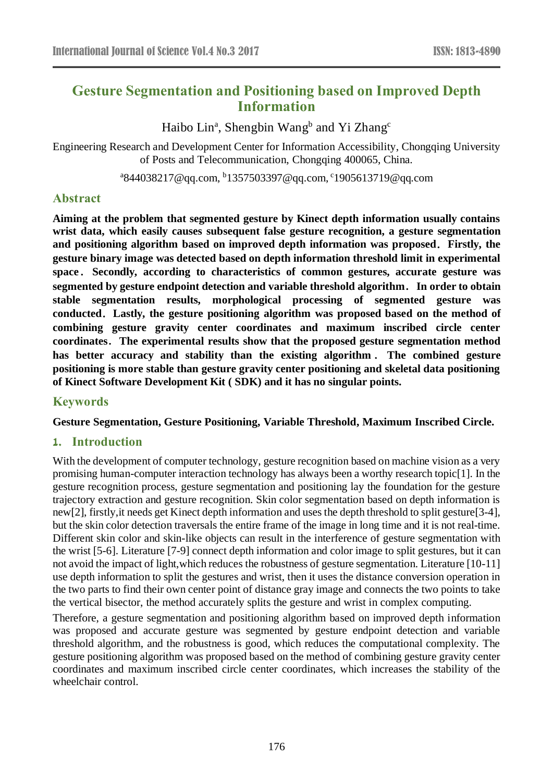# **Gesture Segmentation and Positioning based on Improved Depth Information**

Haibo Lin<sup>a</sup>, Shengbin Wang<sup>b</sup> and Yi Zhang<sup>c</sup>

Engineering Research and Development Center for Information Accessibility, Chongqing University of Posts and Telecommunication, Chongqing 400065, China.

<sup>a</sup>844038217@qq.com, <sup>b</sup>1357503397@qq.com, <sup>c</sup>1905613719@qq.com

# **Abstract**

**Aiming at the problem that segmented gesture by Kinect depth information usually contains wrist data, which easily causes subsequent false gesture recognition, a gesture segmentation and positioning algorithm based on improved depth information was proposed**.**Firstly, the gesture binary image was detected based on depth information threshold limit in experimental space**.**Secondly, according to characteristics of common gestures, accurate gesture was segmented by gesture endpoint detection and variable threshold algorithm**.**In order to obtain stable segmentation results, morphological processing of segmented gesture was conducted**.**Lastly, the gesture positioning algorithm was proposed based on the method of combining gesture gravity center coordinates and maximum inscribed circle center coordinates**.**The experimental results show that the proposed gesture segmentation method has better accuracy and stability than the existing algorithm** . **The combined gesture positioning is more stable than gesture gravity center positioning and skeletal data positioning of Kinect Software Development Kit ( SDK) and it has no singular points.**

# **Keywords**

**Gesture Segmentation, Gesture Positioning, Variable Threshold, Maximum Inscribed Circle.**

# **1. Introduction**

With the development of computer technology, gesture recognition based on machine vision as a very promising human-computer interaction technology has always been a worthy research topic[1]. In the gesture recognition process, gesture segmentation and positioning lay the foundation for the gesture trajectory extraction and gesture recognition. Skin color segmentation based on depth information is new[2], firstly,it needs get Kinect depth information and uses the depth threshold to split gesture[3-4], but the skin color detection traversals the entire frame of the image in long time and it is not real-time. Different skin color and skin-like objects can result in the interference of gesture segmentation with the wrist [5-6]. Literature [7-9] connect depth information and color image to split gestures, but it can not avoid the impact of light,which reduces the robustness of gesture segmentation. Literature [10-11] use depth information to split the gestures and wrist, then it uses the distance conversion operation in the two parts to find their own center point of distance gray image and connects the two points to take the vertical bisector, the method accurately splits the gesture and wrist in complex computing.

Therefore, a gesture segmentation and positioning algorithm based on improved depth information was proposed and accurate gesture was segmented by gesture endpoint detection and variable threshold algorithm, and the robustness is good, which reduces the computational complexity. The gesture positioning algorithm was proposed based on the method of combining gesture gravity center coordinates and maximum inscribed circle center coordinates, which increases the stability of the wheelchair control.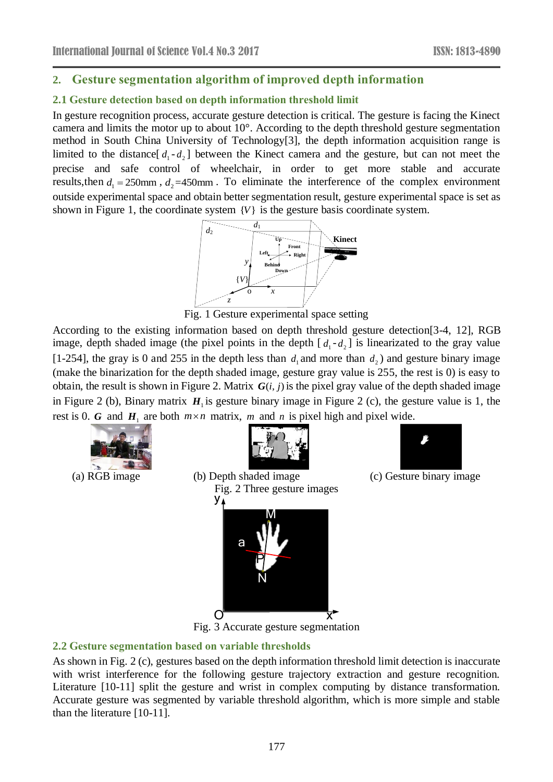# **2. Gesture segmentation algorithm of improved depth information**

### **2.1 Gesture detection based on depth information threshold limit**

In gesture recognition process, accurate gesture detection is critical. The gesture is facing the Kinect camera and limits the motor up to about 10°. According to the depth threshold gesture segmentation method in South China University of Technology[3], the depth information acquisition range is limited to the distance  $[d_1 - d_2]$  between the Kinect camera and the gesture, but can not meet the precise and safe control of wheelchair, in order to get more stable and accurate results, then  $d_1 = 250$  mm,  $d_2 = 450$  mm. To eliminate the interference of the complex environment outside experimental space and obtain better segmentation result, gesture experimental space is set as shown in Figure 1, the coordinate system  ${V}$  is the gesture basis coordinate system.



Fig. 1 Gesture experimental space setting

According to the existing information based on depth threshold gesture detection[3-4, 12], RGB image, depth shaded image (the pixel points in the depth  $[d_1 - d_2]$  is linearizated to the gray value [1-254], the gray is 0 and 255 in the depth less than  $d_1$  and more than  $d_2$ ) and gesture binary image (make the binarization for the depth shaded image, gesture gray value is 255, the rest is 0) is easy to obtain, the result is shown in Figure 2. Matrix  $G(i, j)$  is the pixel gray value of the depth shaded image in Figure 2 (b), Binary matrix  $H_1$  is gesture binary image in Figure 2 (c), the gesture value is 1, the rest is 0. G and  $H_1$  are both  $m \times n$  matrix, m and n is pixel high and pixel wide.



 $\begin{array}{c} \hline \end{array}$ 



Fig. 2 Three gesture images

M

y,

a

P

N



(a) RGB image (b) Depth shaded image (c) Gesture binary image



# **2.2 Gesture segmentation based on variable thresholds**

As shown in Fig. 2 (c), gestures based on the depth information threshold limit detection is inaccurate with wrist interference for the following gesture trajectory extraction and gesture recognition. Literature [10-11] split the gesture and wrist in complex computing by distance transformation. Accurate gesture was segmented by variable threshold algorithm, which is more simple and stable than the literature [10-11].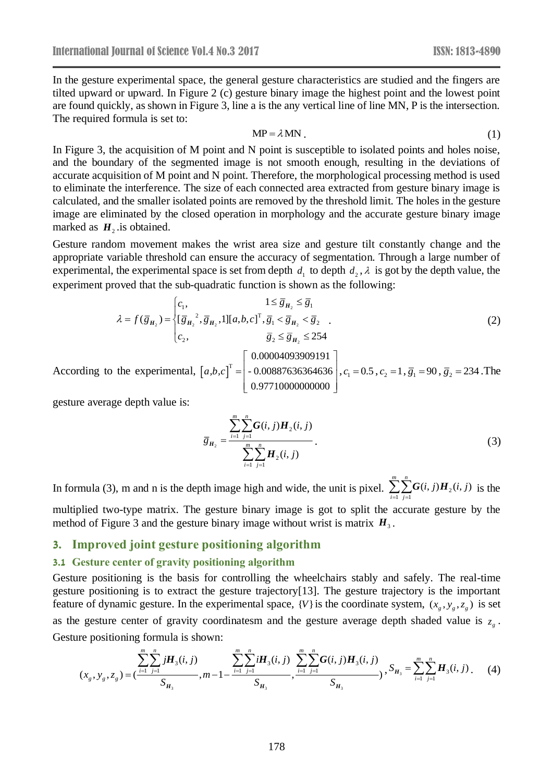In the gesture experimental space, the general gesture characteristics are studied and the fingers are tilted upward or upward. In Figure 2 (c) gesture binary image the highest point and the lowest point are found quickly, as shown in Figure 3, line a is the any vertical line of line MN, P is the intersection. The required formula is set to:

$$
MP = \lambda MN \tag{1}
$$

In Figure 3, the acquisition of M point and N point is susceptible to isolated points and holes noise, and the boundary of the segmented image is not smooth enough, resulting in the deviations of accurate acquisition of M point and N point. Therefore, the morphological processing method is used to eliminate the interference. The size of each connected area extracted from gesture binary image is calculated, and the smaller isolated points are removed by the threshold limit. The holes in the gesture image are eliminated by the closed operation in morphology and the accurate gesture binary image marked as  $H_2$  is obtained.

Gesture random movement makes the wrist area size and gesture tilt constantly change and the appropriate variable threshold can ensure the accuracy of segmentation. Through a large number of experimental, the experimental space is set from depth  $d_1$  to depth  $d_2$ ,  $\lambda$  is got by the depth value, the experiment proved that the sub-quadratic function is shown as the following:

$$
\lambda = f(\overline{g}_{H_2}) = \begin{cases} c_1, & 1 \le \overline{g}_{H_2} \le \overline{g}_1 \\ [\overline{g}_{H_2}^2, \overline{g}_{H_2}, 1][a, b, c]^T, \overline{g}_1 < \overline{g}_{H_2} < \overline{g}_2 \\ c_2, & \overline{g}_2 \le \overline{g}_{H_2} \le 254 \end{cases} \tag{2}
$$

According to the experimental,  $[a,b,c]$ 0.00004093909191 - 0.00887636364636 0.97710000000000  $[a,b,c]^{T}$  $\begin{bmatrix} 0.00004093909191 \end{bmatrix}$  $=\Big|-0.00887636364636\Big|$  $\left[ \begin{array}{c} 0.97710000000000 \end{array} \right]$  $, c_1 = 0.5, c_2 = 1, \overline{g}_1 = 90, \overline{g}_2 = 234$ .The

gesture average depth value is:

$$
\overline{g}_{H_2} = \frac{\sum_{i=1}^{m} \sum_{j=1}^{n} G(i, j) H_2(i, j)}{\sum_{i=1}^{m} \sum_{j=1}^{n} H_2(i, j)}.
$$
\n(3)

In formula (3), m and n is the depth image high and wide, the unit is pixel.  $\sum_{i=1}^{n} \sum_{j=1}^{n} G(i, j)H_2$  $\sum_{i=1}^{m} \sum_{j=1}^{n} G(i, j) H_{i}(i, j)$ *i*=1 *j*  $\sum_{i=1}^{n} \sum_{j=1}^{n} G(i, j) H_2(i, j)$  is the multiplied two-type matrix. The gesture binary image is got to split the accurate gesture by the method of Figure 3 and the gesture binary image without wrist is matrix  $H_3$ .

### **3. Improved joint gesture positioning algorithm**

#### **3.1 Gesture center of gravity positioning algorithm**

Gesture positioning is the basis for controlling the wheelchairs stably and safely. The real-time gesture positioning is to extract the gesture trajectory[13]. The gesture trajectory is the important feature of dynamic gesture. In the experimental space,  $\{V\}$  is the coordinate system,  $(x_g, y_g, z_g)$  is set as the gesture center of gravity coordinatesm and the gesture average depth shaded value is  $z<sub>g</sub>$ . Gesture positioning formula is shown:

$$
(x_g, y_g, z_g) = \left(\frac{\sum_{i=1}^{m} \sum_{j=1}^{n} jH_3(i, j)}{S_{H_3}}, m-1-\frac{\sum_{i=1}^{m} \sum_{j=1}^{n} iH_3(i, j)}{S_{H_3}}, \frac{\sum_{i=1}^{m} \sum_{j=1}^{n} G(i, j)H_3(i, j)}{S_{H_3}}, S_{H_3} = \sum_{i=1}^{m} \sum_{j=1}^{n} H_3(i, j).
$$
 (4)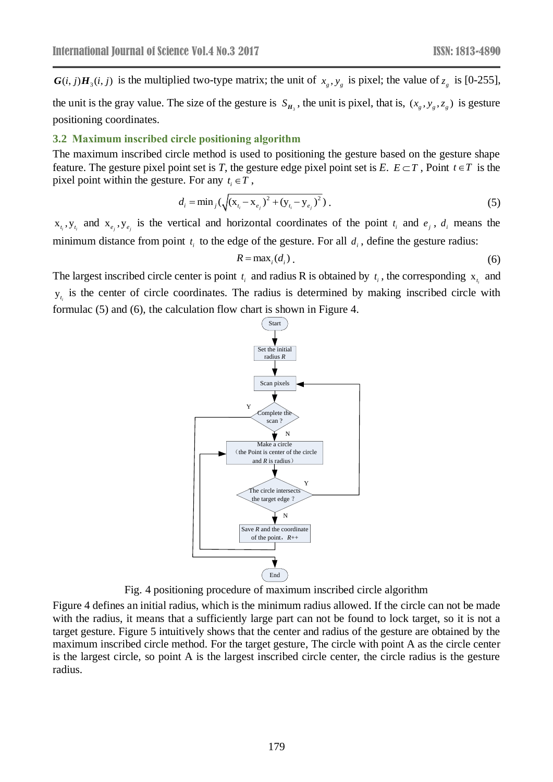is the multiplied two-type matrix; the unit of  $x_g$ ,  $y_g$  is pixel; the value of  $z_g$  is [0-255], the unit is the gray value. The size of the gesture is  $S_{H_3}$ , the unit is pixel, that is,  $(x_g, y_g, z_g)$  is gesture positioning coordinates.

#### **3.2 Maximum inscribed circle positioning algorithm**

The maximum inscribed circle method is used to positioning the gesture based on the gesture shape feature. The gesture pixel point set is *T*, the gesture edge pixel point set is *E*.  $E \subset T$ , Point  $t \in T$  is the pixel point within the gesture. For any  $t_i \in T$ ,

$$
d_i = \min_j (\sqrt{(x_{t_i} - x_{e_j})^2 + (y_{t_i} - y_{e_j})^2}).
$$
\n(5)

 $x_{t_i}$ ,  $y_{t_i}$  and  $x_{e_j}$ ,  $y_{e_j}$  is the vertical and horizontal coordinates of the point  $t_i$  and  $e_j$ ,  $d_i$  means the minimum distance from point  $t_i$  to the edge of the gesture. For all  $d_i$ , define the gesture radius:

$$
R = \max_i (d_i). \tag{6}
$$

The largest inscribed circle center is point  $t_i$  and radius R is obtained by  $t_i$ , the corresponding  $x_{t_i}$  and  $y_{t_i}$  is the center of circle coordinates. The radius is determined by making inscribed circle with formulac (5) and (6), the calculation flow chart is shown in Figure 4.



Fig. 4 positioning procedure of maximum inscribed circle algorithm

Figure 4 defines an initial radius, which is the minimum radius allowed. If the circle can not be made with the radius, it means that a sufficiently large part can not be found to lock target, so it is not a target gesture. Figure 5 intuitively shows that the center and radius of the gesture are obtained by the maximum inscribed circle method. For the target gesture, The circle with point A as the circle center is the largest circle, so point A is the largest inscribed circle center, the circle radius is the gesture radius.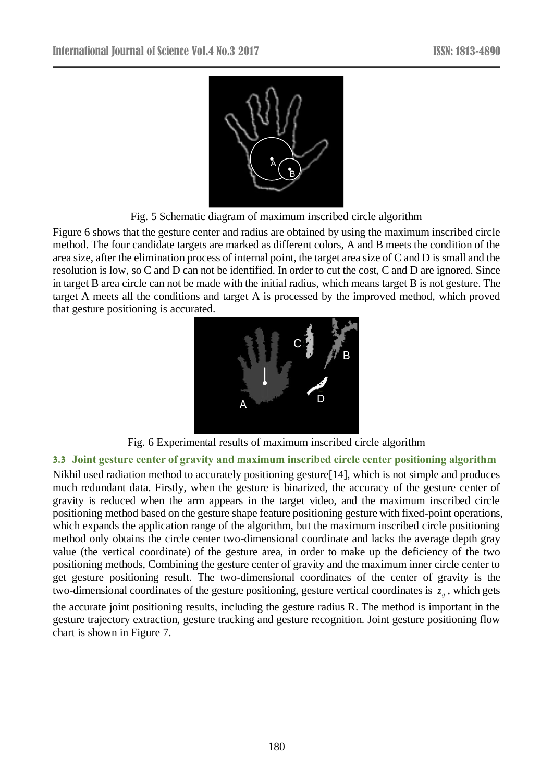

Fig. 5 Schematic diagram of maximum inscribed circle algorithm

Figure 6 shows that the gesture center and radius are obtained by using the maximum inscribed circle method. The four candidate targets are marked as different colors, A and B meets the condition of the area size, after the elimination process of internal point, the target area size of C and D is small and the resolution is low, so C and D can not be identified. In order to cut the cost, C and D are ignored. Since in target B area circle can not be made with the initial radius, which means target B is not gesture. The target A meets all the conditions and target A is processed by the improved method, which proved that gesture positioning is accurated.



Fig. 6 Experimental results of maximum inscribed circle algorithm

# **3.3 Joint gesture center of gravity and maximum inscribed circle center positioning algorithm**

Nikhil used radiation method to accurately positioning gesture[14], which is not simple and produces much redundant data. Firstly, when the gesture is binarized, the accuracy of the gesture center of gravity is reduced when the arm appears in the target video, and the maximum inscribed circle positioning method based on the gesture shape feature positioning gesture with fixed-point operations, which expands the application range of the algorithm, but the maximum inscribed circle positioning method only obtains the circle center two-dimensional coordinate and lacks the average depth gray value (the vertical coordinate) of the gesture area, in order to make up the deficiency of the two positioning methods, Combining the gesture center of gravity and the maximum inner circle center to get gesture positioning result. The two-dimensional coordinates of the center of gravity is the two-dimensional coordinates of the gesture positioning, gesture vertical coordinates is *g z* , which gets

the accurate joint positioning results, including the gesture radius R. The method is important in the gesture trajectory extraction, gesture tracking and gesture recognition. Joint gesture positioning flow chart is shown in Figure 7.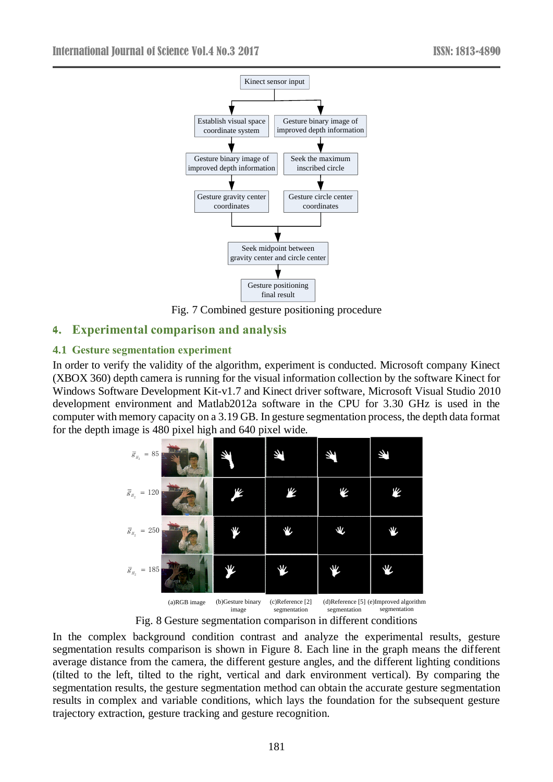

Fig. 7 Combined gesture positioning procedure

# **4. Experimental comparison and analysis**

# **4.1 Gesture segmentation experiment**

In order to verify the validity of the algorithm, experiment is conducted. Microsoft company Kinect (XBOX 360) depth camera is running for the visual information collection by the software Kinect for Windows Software Development Kit-v1.7 and Kinect driver software, Microsoft Visual Studio 2010 development environment and Matlab2012a software in the CPU for 3.30 GHz is used in the computer with memory capacity on a 3.19 GB. In gesture segmentation process, the depth data format for the depth image is 480 pixel high and 640 pixel wide.



Fig. 8 Gesture segmentation comparison in different conditions

In the complex background condition contrast and analyze the experimental results, gesture segmentation results comparison is shown in Figure 8. Each line in the graph means the different average distance from the camera, the different gesture angles, and the different lighting conditions (tilted to the left, tilted to the right, vertical and dark environment vertical). By comparing the segmentation results, the gesture segmentation method can obtain the accurate gesture segmentation results in complex and variable conditions, which lays the foundation for the subsequent gesture trajectory extraction, gesture tracking and gesture recognition.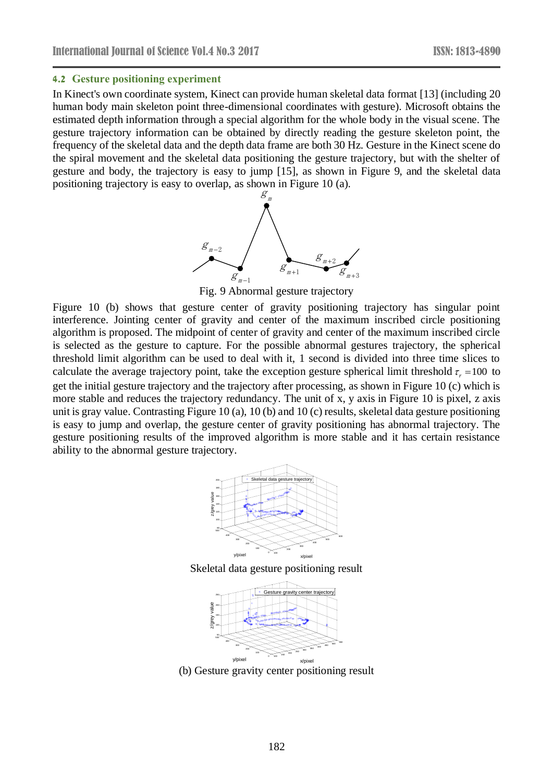#### **4.2 Gesture positioning experiment**

In Kinect's own coordinate system, Kinect can provide human skeletal data format [13] (including 20 human body main skeleton point three-dimensional coordinates with gesture). Microsoft obtains the estimated depth information through a special algorithm for the whole body in the visual scene. The gesture trajectory information can be obtained by directly reading the gesture skeleton point, the frequency of the skeletal data and the depth data frame are both 30 Hz. Gesture in the Kinect scene do the spiral movement and the skeletal data positioning the gesture trajectory, but with the shelter of gesture and body, the trajectory is easy to jump [15], as shown in Figure 9, and the skeletal data positioning trajectory is easy to overlap, as shown in Figure 10 (a).



Fig. 9 Abnormal gesture trajectory

Figure 10 (b) shows that gesture center of gravity positioning trajectory has singular point interference. Jointing center of gravity and center of the maximum inscribed circle positioning algorithm is proposed. The midpoint of center of gravity and center of the maximum inscribed circle is selected as the gesture to capture. For the possible abnormal gestures trajectory, the spherical threshold limit algorithm can be used to deal with it, 1 second is divided into three time slices to calculate the average trajectory point, take the exception gesture spherical limit threshold  $\tau_r = 100$  to get the initial gesture trajectory and the trajectory after processing, as shown in Figure 10 (c) which is more stable and reduces the trajectory redundancy. The unit of x, y axis in Figure 10 is pixel, z axis unit is gray value. Contrasting Figure 10 (a), 10 (b) and 10 (c) results, skeletal data gesture positioning is easy to jump and overlap, the gesture center of gravity positioning has abnormal trajectory. The gesture positioning results of the improved algorithm is more stable and it has certain resistance ability to the abnormal gesture trajectory.



Skeletal data gesture positioning result



(b) Gesture gravity center positioning result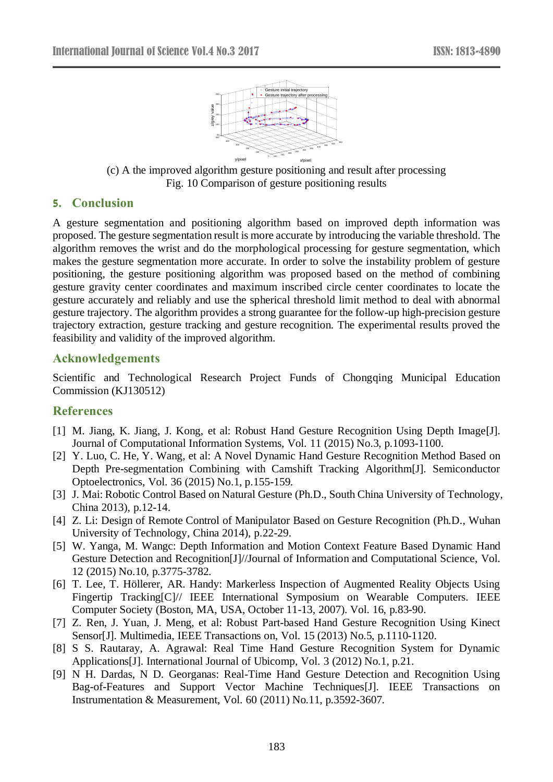

(c) A the improved algorithm gesture positioning and result after processing Fig. 10 Comparison of gesture positioning results

# **5. Conclusion**

A gesture segmentation and positioning algorithm based on improved depth information was proposed. The gesture segmentation result is more accurate by introducing the variable threshold. The algorithm removes the wrist and do the morphological processing for gesture segmentation, which makes the gesture segmentation more accurate. In order to solve the instability problem of gesture positioning, the gesture positioning algorithm was proposed based on the method of combining gesture gravity center coordinates and maximum inscribed circle center coordinates to locate the gesture accurately and reliably and use the spherical threshold limit method to deal with abnormal gesture trajectory. The algorithm provides a strong guarantee for the follow-up high-precision gesture trajectory extraction, gesture tracking and gesture recognition. The experimental results proved the feasibility and validity of the improved algorithm.

### **Acknowledgements**

Scientific and Technological Research Project Funds of Chongqing Municipal Education Commission (KJ130512)

# **References**

- [1] M. Jiang, K. Jiang, J. Kong, et al: Robust Hand Gesture Recognition Using Depth Image[J]. Journal of Computational Information Systems, Vol. 11 (2015) No.3, p.1093-1100.
- [2] Y. Luo, C. He, Y. Wang, et al: A Novel Dynamic Hand Gesture Recognition Method Based on Depth Pre-segmentation Combining with Camshift Tracking Algorithm[J]. Semiconductor Optoelectronics, Vol. 36 (2015) No.1, p.155-159.
- [3] J. Mai: Robotic Control Based on Natural Gesture (Ph.D., South China University of Technology, China 2013), p.12-14.
- [4] Z. Li: Design of Remote Control of Manipulator Based on Gesture Recognition (Ph.D., Wuhan University of Technology, China 2014), p.22-29.
- [5] W. Yanga, M. Wangc: Depth Information and Motion Context Feature Based Dynamic Hand Gesture Detection and Recognition[J]//Journal of Information and Computational Science, Vol. 12 (2015) No.10, p.3775-3782.
- [6] T. Lee, T. Höllerer, AR. Handy: Markerless Inspection of Augmented Reality Objects Using Fingertip Tracking[C]// IEEE International Symposium on Wearable Computers. IEEE Computer Society (Boston, MA, USA, October 11-13, 2007). Vol. 16, p.83-90.
- [7] Z. Ren, J. Yuan, J. Meng, et al: Robust Part-based Hand Gesture Recognition Using Kinect Sensor[J]. Multimedia, IEEE Transactions on, Vol. 15 (2013) No.5, p.1110-1120.
- [8] S S. Rautaray, A. Agrawal: Real Time Hand Gesture Recognition System for Dynamic Applications[J]. International Journal of Ubicomp, Vol. 3 (2012) No.1, p.21.
- [9] N H. Dardas, N D. Georganas: Real-Time Hand Gesture Detection and Recognition Using Bag-of-Features and Support Vector Machine Techniques[J]. IEEE Transactions on Instrumentation & Measurement, Vol. 60 (2011) No.11, p.3592-3607.